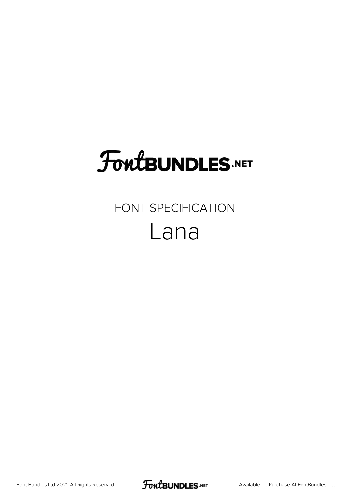# **FoutBUNDLES.NET**

## FONT SPECIFICATION Lana

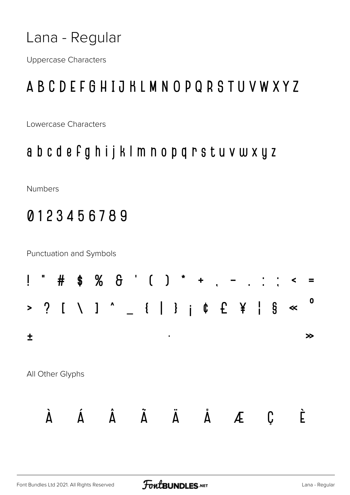**Uppercase Characters** 

### ABCDEFGHIJKLMNOPQRSTUVWXYZ

Lowercase Characters

#### abcdefghijklmnopqrstuvwxyz

Numbers

### 0123456789

Punctuation and Symbols

| Ļ                     | IJ                   | #                | \$ |  |   |                | $% 8'$ ( ) * + .        | $\blacksquare$<br>$\mathbf{r}$ | $\sim 10^6$ | $\frac{1}{2}$ . | $\blacktriangleleft$ | $=$         |
|-----------------------|----------------------|------------------|----|--|---|----------------|-------------------------|--------------------------------|-------------|-----------------|----------------------|-------------|
| $\blacktriangleright$ | $\ddot{\phantom{1}}$ |                  |    |  |   |                |                         |                                |             |                 | $\S \simeq$          | $\mathbf 0$ |
| 土                     |                      |                  |    |  |   |                |                         |                                |             |                 |                      | ≫           |
|                       |                      | All Other Glyphs |    |  |   |                |                         |                                |             |                 |                      |             |
|                       |                      |                  |    |  | A | $\overline{A}$ | $\overline{\mathsf{A}}$ | Æ                              |             | Ç               |                      |             |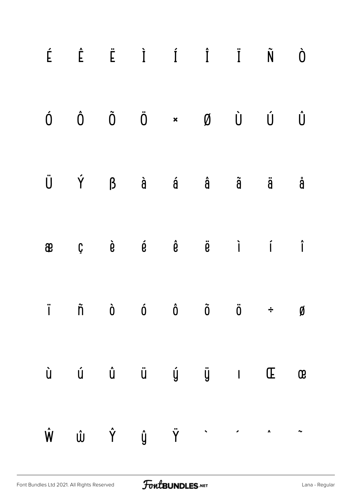| É |           |  | $\hat{E}$ $\ddot{E}$ $\dot{I}$ $\dot{I}$ $\ddot{I}$ | $\tilde{N}$                                                                                                                                                                                                                                                                                                                                                                                                                                                                                                        | Ò                  |
|---|-----------|--|-----------------------------------------------------|--------------------------------------------------------------------------------------------------------------------------------------------------------------------------------------------------------------------------------------------------------------------------------------------------------------------------------------------------------------------------------------------------------------------------------------------------------------------------------------------------------------------|--------------------|
| Ó | $\hat{0}$ |  | $\tilde{0}$ $\ddot{0}$ $\star$ $\emptyset$          | ÙÚ                                                                                                                                                                                                                                                                                                                                                                                                                                                                                                                 | $\hat{\mathsf{U}}$ |
|   | Ü Ý       |  | $\beta$ à á â $\tilde{a}$                           | ä                                                                                                                                                                                                                                                                                                                                                                                                                                                                                                                  | å                  |
| æ |           |  |                                                     | $\begin{array}{ccccccccccccccccc} \mathbf{C} && \mathbf{\hat{e}} && \mathbf{\hat{e}} && \mathbf{\hat{e}} && \mathbf{\hat{e}} && \mathbf{\hat{e}} && \mathbf{\hat{e}} && \mathbf{\hat{e}} && \mathbf{\hat{e}} && \mathbf{\hat{e}} && \mathbf{\hat{e}} && \mathbf{\hat{e}} && \mathbf{\hat{e}} && \mathbf{\hat{e}} && \mathbf{\hat{e}} && \mathbf{\hat{e}} && \mathbf{\hat{e}} && \mathbf{\hat{e}} && \mathbf{\hat{e}} && \mathbf{\hat{e}} && \mathbf{\hat{e}} && \mathbf{\hat{e}} && \mathbf{\hat{e}} && \mathbf{\$ |                    |
|   |           |  |                                                     | iñ ò ó ô ö ë <i>s</i>                                                                                                                                                                                                                                                                                                                                                                                                                                                                                              |                    |
|   |           |  |                                                     |                                                                                                                                                                                                                                                                                                                                                                                                                                                                                                                    |                    |
|   |           |  |                                                     | $\hat{W} \hspace{0.2in} \hat{U} \hspace{0.2in} \hat{Y} \hspace{0.2in} \hat{U} \hspace{0.2in} \hat{Y} \hspace{0.2in} \hat{Y} \hspace{0.2in} \hat{Y} \hspace{0.2in} \hat{Y} \hspace{0.2in} \hat{Y} \hspace{0.2in} \hat{Y} \hspace{0.2in} \hat{Y} \hspace{0.2in} \hat{Y} \hspace{0.2in} \hat{Y} \hspace{0.2in} \hat{Y} \hspace{0.2in} \hat{Y} \hspace{0.2in} \hat{Y} \hspace{0$                                                                                                                                       |                    |